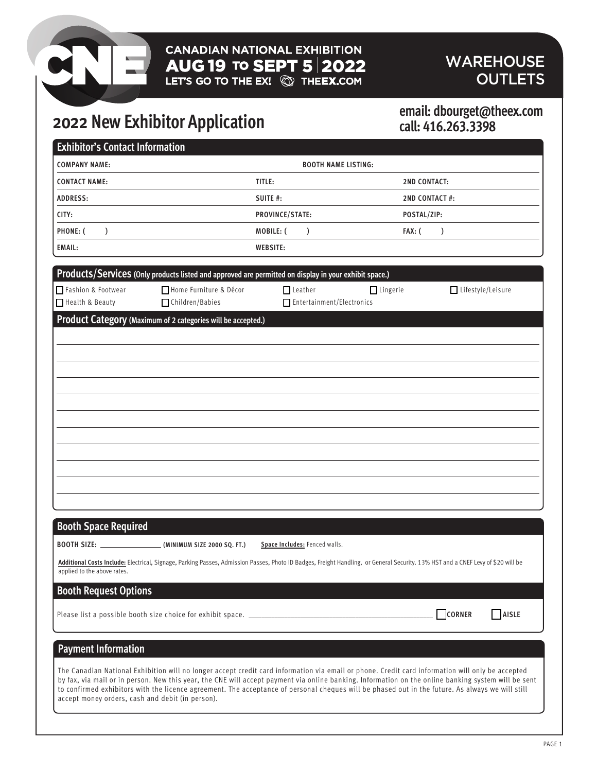# **CANADIAN NATIONAL EXHIBITION AUG 19 TO SEPT 5 2022** WAREHOUSE<br>LET'S GO TO THE EX! © THEEX.COM CUTLETS

# **OUTLETS**

# **2022 New Exhibitor Application**

# **call: 416.263.3398**

| <b>Exhibitor's Contact Information</b>           |                                                                                                                                                                                                                                                                                                                                                                                                                                                             |                                             |                      |                     |       |
|--------------------------------------------------|-------------------------------------------------------------------------------------------------------------------------------------------------------------------------------------------------------------------------------------------------------------------------------------------------------------------------------------------------------------------------------------------------------------------------------------------------------------|---------------------------------------------|----------------------|---------------------|-------|
| <b>COMPANY NAME:</b>                             |                                                                                                                                                                                                                                                                                                                                                                                                                                                             | <b>BOOTH NAME LISTING:</b>                  |                      |                     |       |
| <b>CONTACT NAME:</b>                             |                                                                                                                                                                                                                                                                                                                                                                                                                                                             | TITLE:                                      | <b>2ND CONTACT:</b>  |                     |       |
| <b>ADDRESS:</b>                                  |                                                                                                                                                                                                                                                                                                                                                                                                                                                             | SUITE #:                                    | <b>2ND CONTACT#:</b> |                     |       |
| CITY:                                            |                                                                                                                                                                                                                                                                                                                                                                                                                                                             | PROVINCE/STATE:                             | POSTAL/ZIP:          |                     |       |
| PHONE: (<br>$\mathcal{L}$                        |                                                                                                                                                                                                                                                                                                                                                                                                                                                             | MOBILE: (<br>$\mathcal{L}$                  | FAX: (               | $\mathcal{L}$       |       |
| <b>EMAIL:</b>                                    |                                                                                                                                                                                                                                                                                                                                                                                                                                                             | <b>WEBSITE:</b>                             |                      |                     |       |
|                                                  | Products/Services (Only products listed and approved are permitted on display in your exhibit space.)                                                                                                                                                                                                                                                                                                                                                       |                                             |                      |                     |       |
| Fashion & Footwear<br>Health & Beauty            | Home Furniture & Décor<br>□ Children/Babies                                                                                                                                                                                                                                                                                                                                                                                                                 | $\Box$ Leather<br>Entertainment/Electronics | $\Box$ Lingerie      | □ Lifestyle/Leisure |       |
|                                                  | Product Category (Maximum of 2 categories will be accepted.)                                                                                                                                                                                                                                                                                                                                                                                                |                                             |                      |                     |       |
|                                                  |                                                                                                                                                                                                                                                                                                                                                                                                                                                             |                                             |                      |                     |       |
|                                                  |                                                                                                                                                                                                                                                                                                                                                                                                                                                             |                                             |                      |                     |       |
|                                                  |                                                                                                                                                                                                                                                                                                                                                                                                                                                             |                                             |                      |                     |       |
|                                                  |                                                                                                                                                                                                                                                                                                                                                                                                                                                             |                                             |                      |                     |       |
|                                                  |                                                                                                                                                                                                                                                                                                                                                                                                                                                             |                                             |                      |                     |       |
|                                                  |                                                                                                                                                                                                                                                                                                                                                                                                                                                             |                                             |                      |                     |       |
|                                                  |                                                                                                                                                                                                                                                                                                                                                                                                                                                             |                                             |                      |                     |       |
|                                                  |                                                                                                                                                                                                                                                                                                                                                                                                                                                             |                                             |                      |                     |       |
|                                                  |                                                                                                                                                                                                                                                                                                                                                                                                                                                             |                                             |                      |                     |       |
|                                                  |                                                                                                                                                                                                                                                                                                                                                                                                                                                             |                                             |                      |                     |       |
|                                                  |                                                                                                                                                                                                                                                                                                                                                                                                                                                             |                                             |                      |                     |       |
|                                                  |                                                                                                                                                                                                                                                                                                                                                                                                                                                             |                                             |                      |                     |       |
|                                                  |                                                                                                                                                                                                                                                                                                                                                                                                                                                             |                                             |                      |                     |       |
| <b>Booth Space Required</b>                      |                                                                                                                                                                                                                                                                                                                                                                                                                                                             |                                             |                      |                     |       |
|                                                  |                                                                                                                                                                                                                                                                                                                                                                                                                                                             | Space Includes: Fenced walls.               |                      |                     |       |
| applied to the above rates.                      | Additional Costs Include: Electrical, Signage, Parking Passes, Admission Passes, Photo ID Badges, Freight Handling, or General Security. 13% HST and a CNEF Levy of \$20 will be                                                                                                                                                                                                                                                                            |                                             |                      |                     |       |
| <b>Booth Request Options</b>                     |                                                                                                                                                                                                                                                                                                                                                                                                                                                             |                                             |                      |                     |       |
|                                                  | Please list a possible booth size choice for exhibit space. ______________                                                                                                                                                                                                                                                                                                                                                                                  |                                             |                      | CORNER              | AISLE |
| <b>Payment Information</b>                       |                                                                                                                                                                                                                                                                                                                                                                                                                                                             |                                             |                      |                     |       |
| accept money orders, cash and debit (in person). | The Canadian National Exhibition will no longer accept credit card information via email or phone. Credit card information will only be accepted<br>by fax, via mail or in person. New this year, the CNE will accept payment via online banking. Information on the online banking system will be sent<br>to confirmed exhibitors with the licence agreement. The acceptance of personal cheques will be phased out in the future. As always we will still |                                             |                      |                     |       |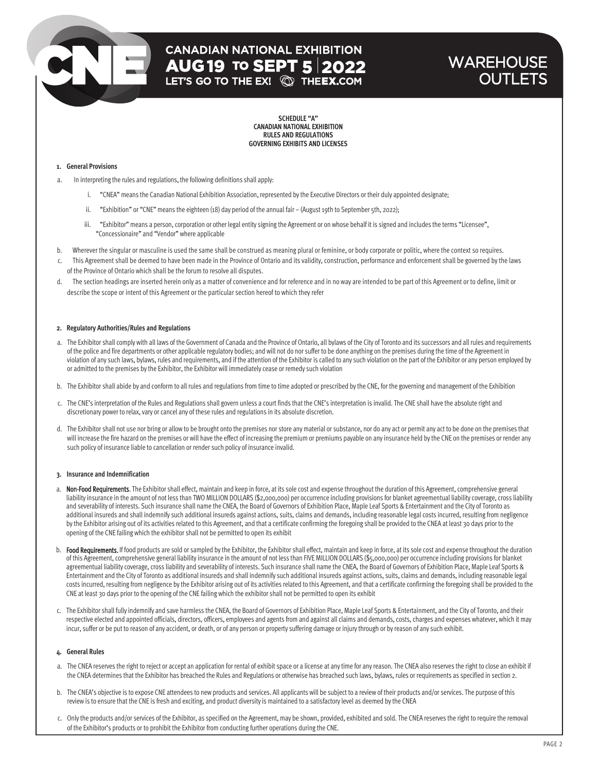### **WAREHOUSE OUTLETS**

**SCHEDULE "A" CANADIAN NATIONAL EXHIBITION RULES AND REGULATIONS GOVERNING EXHIBITS AND LICENSES**

#### **1. General Provisions**

- a. In interpreting the rules and regulations, the following definitions shall apply:
	- i. "CNEA" means the Canadian National Exhibition Association, represented by the Executive Directors or their duly appointed designate;
	- ii. "Exhibition" or "CNE" means the eighteen (18) day period of the annual fair (August 19th to September 5th, 2022);
	- iii. "Exhibitor" means a person, corporation or other legal entity signing the Agreement or on whose behalf it is signed and includes the terms "Licensee", "Concessionaire" and "Vendor" where applicable
- b. Wherever the singular or masculine is used the same shall be construed as meaning plural or feminine, or body corporate or politic, where the context so requires.
- This Agreement shall be deemed to have been made in the Province of Ontario and its validity, construction, performance and enforcement shall be governed by the laws of the Province of Ontario which shall be the forum to resolve all disputes.
- d. The section headings are inserted herein only as a matter of convenience and for reference and in no way are intended to be part of this Agreement or to define, limit or describe the scope or intent of this Agreement or the particular section hereof to which they refer

#### **2. Regulatory Authorities/Rules and Regulations**

- a. The Exhibitor shall comply with all laws of the Government of Canada and the Province of Ontario, all bylaws of the City of Toronto and its successors and all rules and requirements of the police and fire departments or other applicable regulatory bodies; and will not do nor suffer to be done anything on the premises during the time of the Agreement in violation of any such laws, bylaws, rules and requirements, and if the attention of the Exhibitor is called to any such violation on the part of the Exhibitor or any person employed by or admitted to the premises by the Exhibitor, the Exhibitor will immediately cease or remedy such violation
- b. The Exhibitor shall abide by and conform to all rules and regulations from time to time adopted or prescribed by the CNE, for the governing and management of the Exhibition
- c. The CNE's interpretation of the Rules and Regulations shall govern unless a court finds that the CNE's interpretation is invalid. The CNE shall have the absolute right and discretionary power to relax, vary or cancel any of these rules and regulations in its absolute discretion.
- d. The Exhibitor shall not use nor bring or allow to be brought onto the premises nor store any material or substance, nor do any act or permit any act to be done on the premises that will increase the fire hazard on the premises or will have the effect of increasing the premium or premiums payable on any insurance held by the CNE on the premises or render any such policy of insurance liable to cancellation or render such policy of insurance invalid.

#### **3. Insurance and Indemnification**

- a. Non-Food Requirements. The Exhibitor shall effect, maintain and keep in force, at its sole cost and expense throughout the duration of this Agreement, comprehensive general liability insurance in the amount of not less than TWO MILLION DOLLARS (\$2,000,000) per occurrence including provisions for blanket agreementual liability coverage, cross liability and severability of interests. Such insurance shall name the CNEA, the Board of Governors of Exhibition Place, Maple Leaf Sports & Entertainment and the City of Toronto as additional insureds and shall indemnify such additional insureds against actions, suits, claims and demands, including reasonable legal costs incurred, resulting from negligence by the Exhibitor arising out of its activities related to this Agreement, and that a certificate confirming the foregoing shall be provided to the CNEA at least 30 days prior to the opening of the CNE failing which the exhibitor shall not be permitted to open its exhibit
- b. Food Requirements. If food products are sold or sampled by the Exhibitor, the Exhibitor shall effect, maintain and keep in force, at its sole cost and expense throughout the duration of this Agreement, comprehensive general liability insurance in the amount of not less than FIVE MILLION DOLLARS (\$5,000,000) per occurrence including provisions for blanket agreementual liability coverage, cross liability and severability of interests. Such insurance shall name the CNEA, the Board of Governors of Exhibition Place, Maple Leaf Sports & Entertainment and the City of Toronto as additional insureds and shall indemnify such additional insureds against actions, suits, claims and demands, including reasonable legal costs incurred, resulting from negligence by the Exhibitor arising out of its activities related to this Agreement, and that a certificate confirming the foregoing shall be provided to the CNE at least 30 days prior to the opening of the CNE failing which the exhibitor shall not be permitted to open its exhibit
- c. The Exhibitor shall fully indemnify and save harmless the CNEA, the Board of Governors of Exhibition Place, Maple Leaf Sports & Entertainment, and the City of Toronto, and their respective elected and appointed officials, directors, officers, employees and agents from and against all claims and demands, costs, charges and expenses whatever, which it may incur, suffer or be put to reason of any accident, or death, or of any person or property suffering damage or injury through or by reason of any such exhibit.

#### **4. General Rules**

- a. The CNEA reserves the right to reject or accept an application for rental of exhibit space or a license at any time for any reason. The CNEA also reserves the right to close an exhibit if the CNEA determines that the Exhibitor has breached the Rules and Regulations or otherwise has breached such laws, bylaws, rules or requirements as specified in section 2.
- b. The CNEA's objective is to expose CNE attendees to new products and services. All applicants will be subject to a review of their products and/or services. The purpose of this review is to ensure that the CNE is fresh and exciting, and product diversity is maintained to a satisfactory level as deemed by the CNEA
- c. Only the products and/or services of the Exhibitor, as specified on the Agreement, may be shown, provided, exhibited and sold. The CNEA reserves the right to require the removal of the Exhibitor's products or to prohibit the Exhibitor from conducting further operations during the CNE.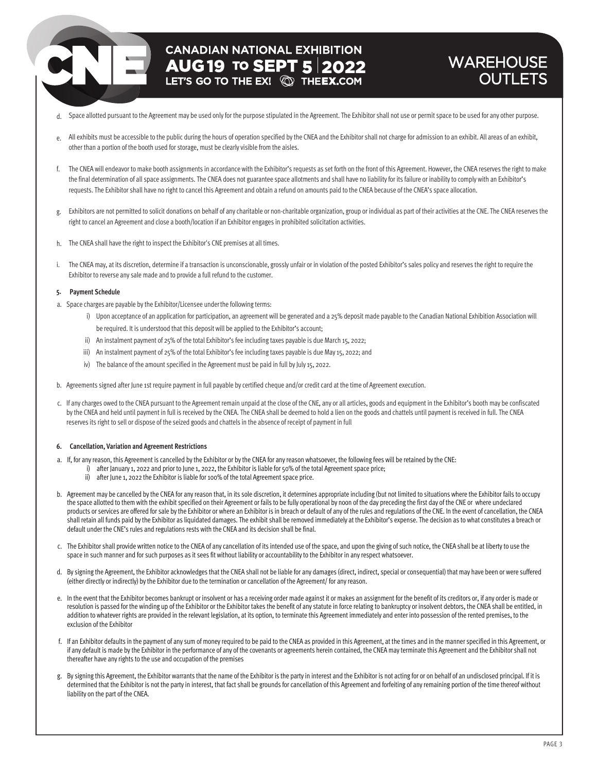## **CANADIAN NATIONAL EXHIBITION AUG 19 TO SEPT 5 2022**

### **WAREHOUSE OUTLETS**

- d. Space allotted pursuant to the Agreement may be used only for the purpose stipulated in the Agreement. The Exhibitor shall not use or permit space to be used for any other purpose.
- All exhibits must be accessible to the public during the hours of operation specified by the CNEA and the Exhibitor shall not charge for admission to an exhibit. All areas of an exhibit, e. other than a portion of the booth used for storage, must be clearly visible from the aisles.
- f. The CNEA will endeavor to make booth assignments in accordance with the Exhibitor's requests as set forth on the front of this Agreement. However, the CNEA reserves the right to make the final determination of all space assignments. The CNEA does not guarantee space allotments and shall have no liability for its failure or inability to comply with an Exhibitor's requests. The Exhibitor shall have no right to cancel this Agreement and obtain a refund on amounts paid to the CNEA because of the CNEA's space allocation.
- Exhibitors are not permitted to solicit donations on behalf of any charitable or non-charitable organization, group or individual as part of their activities at the CNE. The CNEA reserves the g. right to cancel an Agreement and close a booth/location if an Exhibitor engages in prohibited solicitation activities.
- The CNEA shall have the right to inspect the Exhibitor's CNE premises at all times. h.
- The CNEA may, at its discretion, determine if a transaction is unconscionable, grossly unfair or in violation of the posted Exhibitor's sales policy and reserves the right to require the Exhibitor to reverse any sale made and to provide a full refund to the customer. i.

#### **5. Payment Schedule**

- a. Space charges are payable by the Exhibitor/Licensee underthe following terms:
	- i) Upon acceptance of an application for participation, an agreement will be generated and a 25% deposit made payable to the Canadian National Exhibition Association will be required. It is understood that this deposit will be applied to the Exhibitor's account;
	- ii) An instalment payment of 25% of the total Exhibitor's fee including taxes payable is due March 15, 2022;
	- iii) An instalment payment of 25% of the total Exhibitor's fee including taxes payable is due May 15, 2022; and
	- iv) The balance of the amount specified in the Agreement must be paid in full by July 15, 2022.
- b. Agreements signed after June 1st require payment in full payable by certified cheque and/or credit card at the time of Agreement execution.
- c. If any charges owed to the CNEA pursuant to the Agreement remain unpaid at the close of the CNE, any or all articles, goods and equipment in the Exhibitor's booth may be confiscated by the CNEA and held until payment in full is received by the CNEA. The CNEA shall be deemed to hold a lien on the goods and chattels until payment is received in full. The CNEA reserves its right to sell or dispose of the seized goods and chattels in the absence of receipt of payment in full

#### **6. Cancellation, Variation and Agreement Restrictions**

- a. If, for any reason, this Agreement is cancelled by the Exhibitor or by the CNEA for any reason whatsoever, the following fees will be retained by the CNE:
	- i) after January 1, 2022 and prior to June 1, 2022, the Exhibitor is liable for 50% of the total Agreement space price;
		- ii) after June 1, 2022 the Exhibitor is liable for 100% of the total Agreement space price.
- b. Agreement may be cancelled by the CNEA for any reason that, in its sole discretion, it determines appropriate including (but not limited to situations where the Exhibitor fails to occupy the space allotted to them with the exhibit specified on their Agreement or fails to be fully operational by noon of the day preceding the first day of the CNE or where undeclared products or services are offered for sale by the Exhibitor or where an Exhibitor is in breach or default of any of the rules and regulations of the CNE. In the event of cancellation, the CNEA shall retain all funds paid by the Exhibitor as liquidated damages. The exhibit shall be removed immediately at the Exhibitor's expense. The decision as to what constitutes a breach or default under the CNE's rules and regulations rests with the CNEA and its decision shall be final.
- c. The Exhibitor shall provide written notice to the CNEA of any cancellation of its intended use of the space, and upon the giving of such notice, the CNEA shall be at liberty to use the space in such manner and for such purposes as it sees fit without liability or accountability to the Exhibitor in any respect whatsoever.
- d. By signing the Agreement, the Exhibitor acknowledges that the CNEA shall not be liable for any damages (direct, indirect, special or consequential) that may have been or were suffered (either directly or indirectly) by the Exhibitor due to the termination or cancellation of the Agreement/ for any reason.
- e. In the event that the Exhibitor becomes bankrupt or insolvent or has a receiving order made against it or makes an assignment for the benefit of its creditors or, if any order is made or resolution is passed for the winding up of the Exhibitor or the Exhibitor takes the benefit of any statute in force relating to bankruptcy or insolvent debtors, the CNEA shall be entitled, in addition to whatever rights are provided in the relevant legislation, at its option, to terminate this Agreement immediately and enter into possession of the rented premises, to the exclusion of the Exhibitor
- f. If an Exhibitor defaults in the payment of any sum of money required to be paid to the CNEA as provided in this Agreement, at the times and in the manner specified in this Agreement, or if any default is made by the Exhibitor in the performance of any of the covenants or agreements herein contained, the CNEA may terminate this Agreement and the Exhibitor shall not thereafter have any rights to the use and occupation of the premises
- g. By signing this Agreement, the Exhibitor warrants that the name of the Exhibitor is the party in interest and the Exhibitor is not acting for or on behalf of an undisclosed principal. If it is determined that the Exhibitor is not the party in interest, that fact shall be grounds for cancellation of this Agreement and forfeiting of any remaining portion of the time thereof without liability on the part of the CNEA.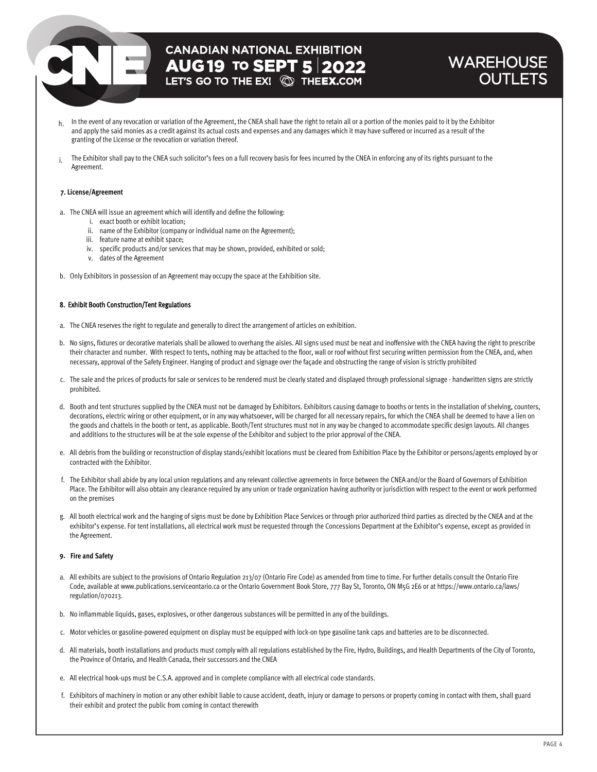### **WAREHOUSE OUTLETS**

- $h$  In the event of any revocation or variation of the Agreement, the CNEA shall have the right to retain all or a portion of the monies paid to it by the Exhibitor and apply the said monies as a credit against its actual costs and expenses and any damages which it may have suffered or incurred as a result of the granting of the License or the revocation or variation thereof.
- The Exhibitor shall pay to the CNEA such solicitor's fees on a full recovery basis for fees incurred by the CNEA in enforcing any of its rights pursuant to the Agreement. i.

#### **7. License/Agreement**

- a. The CNEA will issue an agreement which will identify and define the following:
	- i. exact booth or exhibit location;
	- ii. name of the Exhibitor (company or individual name on the Agreement);
	- iii. feature name at exhibit space;
	- iv. specific products and/or services that may be shown, provided, exhibited or sold;
	- v. dates of the Agreement
- b. Only Exhibitors in possession of an Agreement may occupy the space at the Exhibition site.

#### 8. Exhibit Booth Construction/Tent Regulations

- a. The CNEA reserves the right to regulate and generally to direct the arrangement of articles on exhibition.
- b. No signs, fixtures or decorative materials shall be allowed to overhang the aisles. All signs used must be neat and inoffensive with the CNEA having the right to prescribe their character and number. With respect to tents, nothing may be attached to the floor, wall or roof without first securing written permission from the CNEA, and, when necessary, approval of the Safety Engineer. Hanging of product and signage over the façade and obstructing the range of vision is strictly prohibited
- c. The sale and the prices of products for sale or services to be rendered must be clearly stated and displayed through professional signage handwritten signs are strictly prohibited.
- d. Booth and tent structures supplied by the CNEA must not be damaged by Exhibitors. Exhibitors causing damage to booths or tents in the installation of shelving, counters, decorations, electric wiring or other equipment, or in any way whatsoever, will be charged for all necessary repairs, for which the CNEA shall be deemed to have a lien on the goods and chattels in the booth or tent, as applicable. Booth/Tent structures must not in any way be changed to accommodate specific design layouts. All changes and additions to the structures will be at the sole expense of the Exhibitor and subject to the prior approval of the CNEA.
- e. All debris from the building or reconstruction of display stands/exhibit locations must be cleared from Exhibition Place by the Exhibitor or persons/agents employed by or contracted with the Exhibitor.
- f. The Exhibitor shall abide by any local union regulations and any relevant collective agreements in force between the CNEA and/or the Board of Governors of Exhibition Place. The Exhibitor will also obtain any clearance required by any union or trade organization having authority or jurisdiction with respect to the event or work performed on the premises
- g. All booth electrical work and the hanging of signs must be done by Exhibition Place Services or through prior authorized third parties as directed by the CNEA and at the exhibitor's expense. For tent installations, all electrical work must be requested through the Concessions Department at the Exhibitor's expense, except as provided in the Agreement.

#### **9. Fire and Safety**

- a. All exhibits are subject to the provisions of Ontario Regulation 213/07 (Ontario Fire Code) as amended from time to time. For further details consult the Ontario Fire Code, available at www.publications.serviceontario.ca or the Ontario Government Book Store, 777 Bay St, Toronto, ON M5G 2E6 or at https://www.ontario.ca/laws/ regulation/070213.
- b. No inflammable liquids, gases, explosives, or other dangerous substances will be permitted in any of the buildings.
- c. Motor vehicles or gasoline-powered equipment on display must be equipped with lock-on type gasoline tank caps and batteries are to be disconnected.
- d. All materials, booth installations and products must comply with all regulations established by the Fire, Hydro, Buildings, and Health Departments of the City of Toronto, the Province of Ontario, and Health Canada, their successors and the CNEA
- e. All electrical hook-ups must be C.S.A. approved and in complete compliance with all electrical code standards.
- f. Exhibitors of machinery in motion or any other exhibit liable to cause accident, death, injury or damage to persons or property coming in contact with them, shall guard their exhibit and protect the public from coming in contact therewith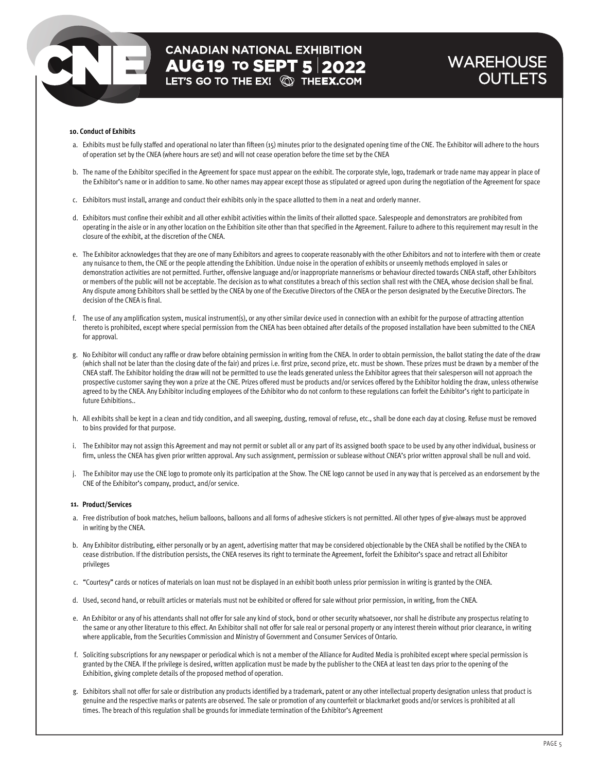### **WAREHOUSE OUTLETS**

#### **10. Conduct of Exhibits**

- a. Exhibits must be fully staffed and operational no later than fifteen (15) minutes prior to the designated opening time of the CNE. The Exhibitor will adhere to the hours of operation set by the CNEA (where hours are set) and will not cease operation before the time set by the CNEA
- b. The name of the Exhibitor specified in the Agreement for space must appear on the exhibit. The corporate style, logo, trademark or trade name may appear in place of the Exhibitor's name or in addition to same. No other names may appear except those as stipulated or agreed upon during the negotiation of the Agreement for space
- c. Exhibitors must install, arrange and conduct their exhibits only in the space allotted to them in a neat and orderly manner.
- d. Exhibitors must confine their exhibit and all other exhibit activities within the limits of their allotted space. Salespeople and demonstrators are prohibited from operating in the aisle or in any other location on the Exhibition site other than that specified in the Agreement. Failure to adhere to this requirement may result in the closure of the exhibit, at the discretion of the CNEA.
- e. The Exhibitor acknowledges that they are one of many Exhibitors and agrees to cooperate reasonably with the other Exhibitors and not to interfere with them or create any nuisance to them, the CNE or the people attending the Exhibition. Undue noise in the operation of exhibits or unseemly methods employed in sales or demonstration activities are not permitted. Further, offensive language and/or inappropriate mannerisms or behaviour directed towards CNEA staff, other Exhibitors or members of the public will not be acceptable. The decision as to what constitutes a breach of this section shall rest with the CNEA, whose decision shall be final. Any dispute among Exhibitors shall be settled by the CNEA by one of the Executive Directors of the CNEA or the person designated by the Executive Directors. The decision of the CNEA is final.
- f. The use of any amplification system, musical instrument(s), or any other similar device used in connection with an exhibit for the purpose of attracting attention thereto is prohibited, except where special permission from the CNEA has been obtained after details of the proposed installation have been submitted to the CNEA for approval.
- g. No Exhibitor will conduct any raffle or draw before obtaining permission in writing from the CNEA. In order to obtain permission, the ballot stating the date of the draw (which shall not be later than the closing date of the fair) and prizes i.e. first prize, second prize, etc. must be shown. These prizes must be drawn by a member of the CNEA staff. The Exhibitor holding the draw will not be permitted to use the leads generated unless the Exhibitor agrees that their salesperson will not approach the prospective customer saying they won a prize at the CNE. Prizes offered must be products and/or services offered by the Exhibitor holding the draw, unless otherwise agreed to by the CNEA. Any Exhibitor including employees of the Exhibitor who do not conform to these regulations can forfeit the Exhibitor's right to participate in future Exhibitions..
- h. All exhibits shall be kept in a clean and tidy condition, and all sweeping, dusting, removal of refuse, etc., shall be done each day at closing. Refuse must be removed to bins provided for that purpose.
- i. The Exhibitor may not assign this Agreement and may not permit or sublet all or any part of its assigned booth space to be used by any other individual, business or firm, unless the CNEA has given prior written approval. Any such assignment, permission or sublease without CNEA's prior written approval shall be null and void.
- j. The Exhibitor may use the CNE logo to promote only its participation at the Show. The CNE logo cannot be used in any way that is perceived as an endorsement by the CNE of the Exhibitor's company, product, and/or service.

#### **11. Product/Services**

- a. Free distribution of book matches, helium balloons, balloons and all forms of adhesive stickers is not permitted. All other types of give-always must be approved in writing by the CNEA.
- b. Any Exhibitor distributing, either personally or by an agent, advertising matter that may be considered objectionable by the CNEA shall be notified by the CNEA to cease distribution. If the distribution persists, the CNEA reserves its right to terminate the Agreement, forfeit the Exhibitor's space and retract all Exhibitor privileges
- c. "Courtesy" cards or notices of materials on loan must not be displayed in an exhibit booth unless prior permission in writing is granted by the CNEA.
- d. Used, second hand, or rebuilt articles or materials must not be exhibited or offered for sale without prior permission, in writing, from the CNEA.
- e. An Exhibitor or any of his attendants shall not offer for sale any kind of stock, bond or other security whatsoever, nor shall he distribute any prospectus relating to the same or any other literature to this effect. An Exhibitor shall not offer for sale real or personal property or any interest therein without prior clearance, in writing where applicable, from the Securities Commission and Ministry of Government and Consumer Services of Ontario.
- f. Soliciting subscriptions for any newspaper or periodical which is not a member of the Alliance for Audited Media is prohibited except where special permission is granted by the CNEA. If the privilege is desired, written application must be made by the publisher to the CNEA at least ten days prior to the opening of the Exhibition, giving complete details of the proposed method of operation.
- g. Exhibitors shall not offer for sale or distribution any products identified by a trademark, patent or any other intellectual property designation unless that product is genuine and the respective marks or patents are observed. The sale or promotion of any counterfeit or blackmarket goods and/or services is prohibited at all times. The breach of this regulation shall be grounds for immediate termination of the Exhibitor's Agreement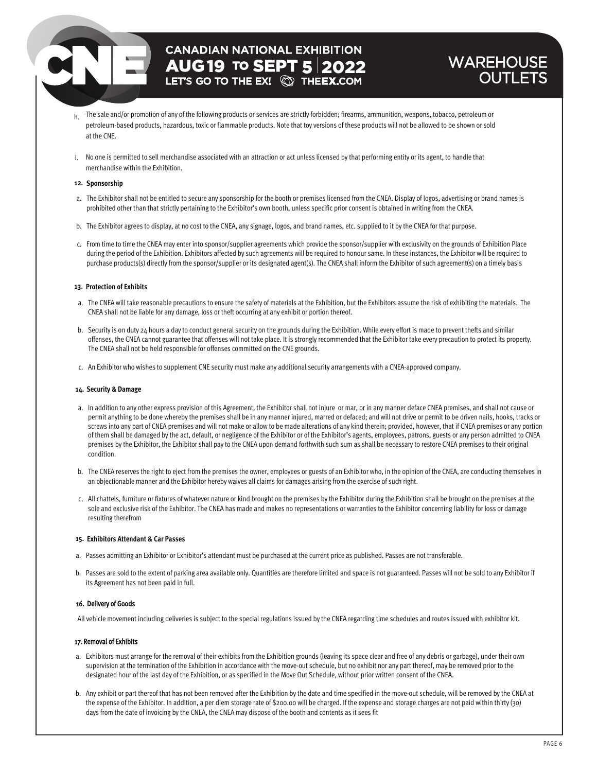### **CANADIAN NATIONAL EXHIBITION AUG 19 TO SEPT 5 2022**

### **WAREHOUSE OUTLETS**

- h. The sale and/or promotion of any of the following products or services are strictly forbidden; firearms, ammunition, weapons, tobacco, petroleum or petroleum-based products, hazardous, toxic or flammable products. Note that toy versions of these products will not be allowed to be shown or sold at the CNE.
- i. No one is permitted to sell merchandise associated with an attraction or act unless licensed by that performing entity or its agent, to handle that merchandise within the Exhibition.

#### **12. Sponsorship**

- a. The Exhibitor shall not be entitled to secure any sponsorship for the booth or premises licensed from the CNEA. Display of logos, advertising or brand names is prohibited other than that strictly pertaining to the Exhibitor's own booth, unless specific prior consent is obtained in writing from the CNEA.
- b. The Exhibitor agrees to display, at no cost to the CNEA, any signage, logos, and brand names, etc. supplied to it by the CNEA for that purpose.
- c. From time to time the CNEA may enter into sponsor/supplier agreements which provide the sponsor/supplier with exclusivity on the grounds of Exhibition Place during the period of the Exhibition. Exhibitors affected by such agreements will be required to honour same. In these instances, the Exhibitor will be required to purchase products(s) directly from the sponsor/supplier or its designated agent(s). The CNEA shall inform the Exhibitor of such agreement(s) on a timely basis

#### **13. Protection of Exhibits**

- a. The CNEA will take reasonable precautions to ensure the safety of materials at the Exhibition, but the Exhibitors assume the risk of exhibiting the materials. The CNEA shall not be liable for any damage, loss or theft occurring at any exhibit or portion thereof.
- b. Security is on duty 24 hours a day to conduct general security on the grounds during the Exhibition. While every effort is made to prevent thefts and similar offenses, the CNEA cannot guarantee that offenses will not take place. It is strongly recommended that the Exhibitor take every precaution to protect its property. The CNEA shall not be held responsible for offenses committed on the CNE grounds.
- c. An Exhibitor who wishes to supplement CNE security must make any additional security arrangements with a CNEA-approved company.

#### **14. Security & Damage**

- a. In addition to any other express provision of this Agreement, the Exhibitor shall not injure or mar, or in any manner deface CNEA premises, and shall not cause or permit anything to be done whereby the premises shall be in any manner injured, marred or defaced; and will not drive or permit to be driven nails, hooks, tracks or screws into any part of CNEA premises and will not make or allow to be made alterations of any kind therein; provided, however, that if CNEA premises or any portion of them shall be damaged by the act, default, or negligence of the Exhibitor or of the Exhibitor's agents, employees, patrons, guests or any person admitted to CNEA premises by the Exhibitor, the Exhibitor shall pay to the CNEA upon demand forthwith such sum as shall be necessary to restore CNEA premises to their original condition.
- b. The CNEA reserves the right to eject from the premises the owner, employees or guests of an Exhibitor who, in the opinion of the CNEA, are conducting themselves in an objectionable manner and the Exhibitor hereby waives all claims for damages arising from the exercise of such right.
- c. All chattels, furniture or fixtures of whatever nature or kind brought on the premises by the Exhibitor during the Exhibition shall be brought on the premises at the sole and exclusive risk of the Exhibitor. The CNEA has made and makes no representations or warranties to the Exhibitor concerning liability for loss or damage resulting therefrom

#### **15. Exhibitors Attendant & Car Passes**

- a. Passes admitting an Exhibitor or Exhibitor's attendant must be purchased at the current price as published. Passes are not transferable.
- b. Passes are sold to the extent of parking area available only. Quantities are therefore limited and space is not guaranteed. Passes will not be sold to any Exhibitor if its Agreement has not been paid in full.

#### 16. Delivery of Goods

All vehicle movement including deliveries is subject to the special regulations issued by the CNEA regarding time schedules and routes issued with exhibitor kit.

#### 17. Removal of Exhibits

- a. Exhibitors must arrange for the removal of their exhibits from the Exhibition grounds (leaving its space clear and free of any debris or garbage), under their own supervision at the termination of the Exhibition in accordance with the move-out schedule, but no exhibit nor any part thereof, may be removed prior to the designated hour of the last day of the Exhibition, or as specified in the Move Out Schedule, without prior written consent of the CNEA.
- b. Any exhibit or part thereof that has not been removed after the Exhibition by the date and time specified in the move-out schedule, will be removed by the CNEA at the expense of the Exhibitor. In addition, a per diem storage rate of \$200.00 will be charged. If the expense and storage charges are not paid within thirty (30) days from the date of invoicing by the CNEA, the CNEA may dispose of the booth and contents as it sees fit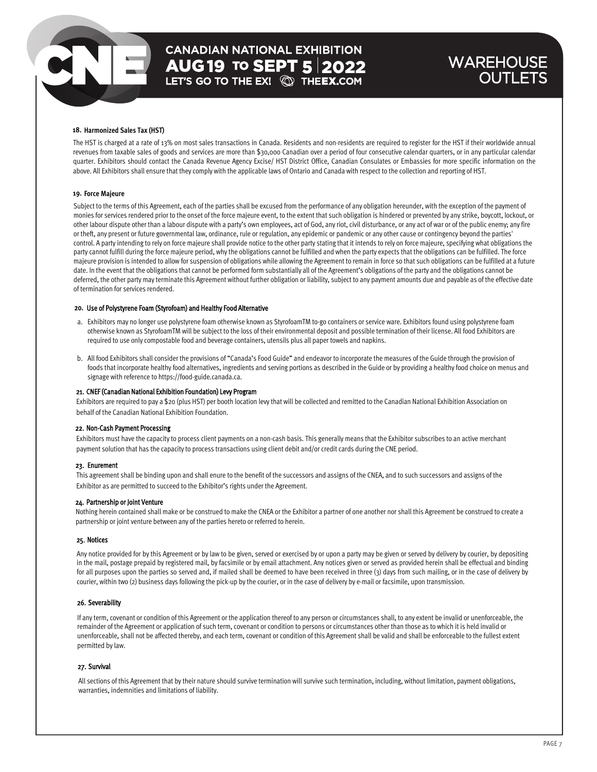### **WAREHOUSE** OUTLETS

#### **18. Harmonized Sales Tax (HST)**

The HST is charged at a rate of 13% on most sales transactions in Canada. Residents and non-residents are required to register for the HST if their worldwide annual revenues from taxable sales of goods and services are more than \$30,000 Canadian over a period of four consecutive calendar quarters, or in any particular calendar quarter. Exhibitors should contact the Canada Revenue Agency Excise/ HST District Office, Canadian Consulates or Embassies for more specific information on the above. All Exhibitors shall ensure that they comply with the applicable laws of Ontario and Canada with respect to the collection and reporting of HST.

#### **19. Force Majeure**

Subject to the terms of this Agreement, each of the parties shall be excused from the performance of any obligation hereunder, with the exception of the payment of monies for services rendered prior to the onset of the force majeure event, to the extent that such obligation is hindered or prevented by any strike, boycott, lockout, or other labour dispute other than a labour dispute with a party's own employees, act of God, any riot, civil disturbance, or any act of war or of the public enemy; any fire or theft, any present or future governmental law, ordinance, rule or regulation, any epidemic or pandemic or any other cause or contingency beyond the parties' control. A party intending to rely on force majeure shall provide notice to the other party stating that it intends to rely on force majeure, specifying what obligations the party cannot fulfill during the force majeure period, why the obligations cannot be fulfilled and when the party expects that the obligations can be fulfilled. The force majeure provision is intended to allow for suspension of obligations while allowing the Agreement to remain in force so that such obligations can be fulfilled at a future date. In the event that the obligations that cannot be performed form substantially all of the Agreement's obligations of the party and the obligations cannot be deferred, the other party may terminate this Agreement without further obligation or liability, subject to any payment amounts due and payable as of the effective date of termination for services rendered.

#### 20. Use of Polystyrene Foam (Styrofoam) and Healthy Food Alternative

- a. Exhibitors may no longer use polystyrene foam otherwise known as StyrofoamTM to-go containers or service ware. Exhibitors found using polystyrene foam otherwise known as StyrofoamTM will be subject to the loss of their environmental deposit and possible termination of their license. All food Exhibitors are required to use only compostable food and beverage containers, utensils plus all paper towels and napkins.
- b. All food Exhibitors shall consider the provisions of "Canada's Food Guide" and endeavor to incorporate the measures of the Guide through the provision of foods that incorporate healthy food alternatives, ingredients and serving portions as described in the Guide or by providing a healthy food choice on menus and signage with reference to https://food-guide.canada.ca.

#### 21. CNEF (Canadian National Exhibition Foundation) Levy Program

Exhibitors are required to pay a \$20 (plus HST) per booth location levy that will be collected and remitted to the Canadian National Exhibition Association on behalf of the Canadian National Exhibition Foundation.

#### 22. Non-Cash Payment Processing

Exhibitors must have the capacity to process client payments on a non-cash basis. This generally means that the Exhibitor subscribes to an active merchant payment solution that has the capacity to process transactions using client debit and/or credit cards during the CNE period.

#### 23. Enurement

This agreement shall be binding upon and shall enure to the benefit of the successors and assigns of the CNEA, and to such successors and assigns of the Exhibitor as are permitted to succeed to the Exhibitor's rights under the Agreement.

#### 24. Partnership or Joint Venture

Nothing herein contained shall make or be construed to make the CNEA or the Exhibitor a partner of one another nor shall this Agreement be construed to create a partnership or joint venture between any of the parties hereto or referred to herein.

#### 25. Notices

Any notice provided for by this Agreement or by law to be given, served or exercised by or upon a party may be given or served by delivery by courier, by depositing in the mail, postage prepaid by registered mail, by facsimile or by email attachment. Any notices given or served as provided herein shall be effectual and binding for all purposes upon the parties so served and, if mailed shall be deemed to have been received in three (3) days from such mailing, or in the case of delivery by courier, within two (2) business days following the pick-up by the courier, or in the case of delivery by e-mail or facsimile, upon transmission.

#### 26. Severability

If any term, covenant or condition of this Agreement or the application thereof to any person or circumstances shall, to any extent be invalid or unenforceable, the remainder of the Agreement or application of such term, covenant or condition to persons or circumstances other than those as to which it is held invalid or unenforceable, shall not be affected thereby, and each term, covenant or condition of this Agreement shall be valid and shall be enforceable to the fullest extent permitted by law.

#### 27. Survival

All sections of this Agreement that by their nature should survive termination will survive such termination, including, without limitation, payment obligations, warranties, indemnities and limitations of liability.